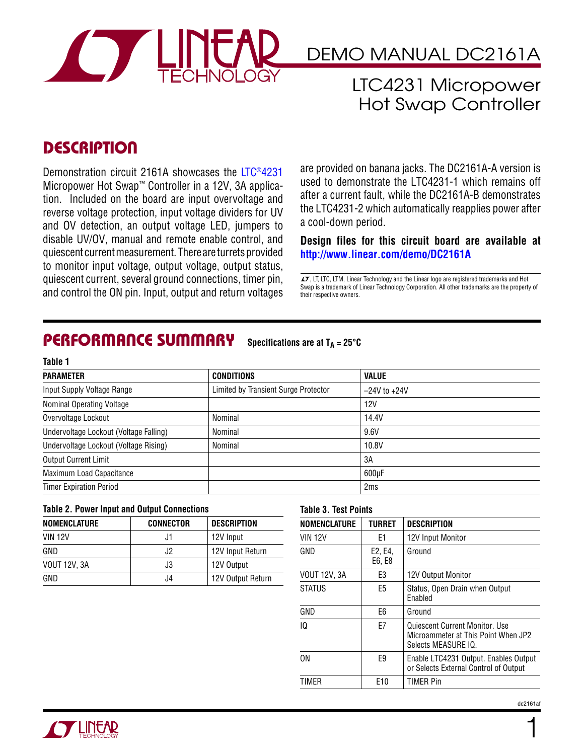

### LTC4231 Micropower Hot Swap Controller

### **DESCRIPTION**

Demonstration circuit 2161A showcases the [LTC®4231](http://www.linear.com/LTC4231) Micropower Hot Swap™ Controller in a 12V, 3A application. Included on the board are input overvoltage and reverse voltage protection, input voltage dividers for UV and OV detection, an output voltage LED, jumpers to disable UV/OV, manual and remote enable control, and quiescent current measurement. There are turrets provided to monitor input voltage, output voltage, output status, quiescent current, several ground connections, timer pin, and control the ON pin. Input, output and return voltages are provided on banana jacks. The DC2161A-A version is used to demonstrate the LTC4231-1 which remains off after a current fault, while the DC2161A-B demonstrates the LTC4231-2 which automatically reapplies power after a cool-down period.

**Design files for this circuit board are available at <http://www.linear.com/demo/DC2161A>**

 $I$ , LT, LTC, LTM, Linear Technology and the Linear logo are registered trademarks and Hot Swap is a trademark of Linear Technology Corporation. All other trademarks are the property of their respective owners.

#### PERFORMANCE SUMMARY **Specifications are at TA = 25°C**

| Table 1                                |                                      |                  |  |  |  |
|----------------------------------------|--------------------------------------|------------------|--|--|--|
| <b>PARAMETER</b>                       | <b>CONDITIONS</b>                    | <b>VALUE</b>     |  |  |  |
| Input Supply Voltage Range             | Limited by Transient Surge Protector | $-24V$ to $+24V$ |  |  |  |
| Nominal Operating Voltage              |                                      | 12V              |  |  |  |
| Overvoltage Lockout                    | Nominal                              | 14.4V            |  |  |  |
| Undervoltage Lockout (Voltage Falling) | Nominal                              | 9.6V             |  |  |  |
| Undervoltage Lockout (Voltage Rising)  | Nominal                              | 10.8V            |  |  |  |
| <b>Output Current Limit</b>            |                                      | 3A               |  |  |  |
| Maximum Load Capacitance               |                                      | $600\mu F$       |  |  |  |
| <b>Timer Expiration Period</b>         |                                      | 2 <sub>ms</sub>  |  |  |  |

#### **Table 2. Power Input and Output Connections**

| NOMENCLATURE   | <b>CONNECTOR</b> | <b>DESCRIPTION</b> |
|----------------|------------------|--------------------|
| <b>VIN 12V</b> | J1               | 12V Input          |
| GND            | .I2              | 12V Input Return   |
| VOUT 12V, 3A   | J3               | 12V Output         |
| GND            | 14.              | 12V Output Return  |

#### **Table 3. Test Points**

| NOMENCLATURE   | <b>TURRET</b>     | <b>DESCRIPTION</b>                                                                           |
|----------------|-------------------|----------------------------------------------------------------------------------------------|
| <b>VIN 12V</b> | E1                | 12V Input Monitor                                                                            |
| GND            | E2, E4,<br>E6, E8 | Ground                                                                                       |
| VOUT 12V, 3A   | E3                | 12V Output Monitor                                                                           |
| <b>STATUS</b>  | E5                | Status, Open Drain when Output<br><b>Fnabled</b>                                             |
| GND            | E6                | Ground                                                                                       |
| 10             | F7                | Quiescent Current Monitor, Use<br>Microammeter at This Point When JP2<br>Selects MEASURE IQ. |
| 0N             | E9                | Enable LTC4231 Output. Enables Output<br>or Selects External Control of Output               |
| TIMER          | E10               | TIMER Pin                                                                                    |



1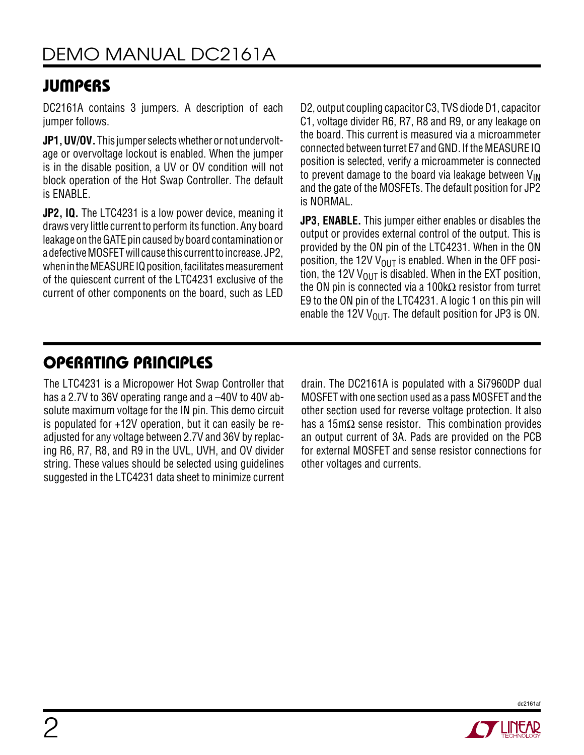# **JUMPERS**

DC2161A contains 3 jumpers. A description of each jumper follows.

**JP1, UV/OV.** This jumper selects whether or not undervoltage or overvoltage lockout is enabled. When the jumper is in the disable position, a UV or OV condition will not block operation of the Hot Swap Controller. The default is ENABLE.

**JP2, IQ.** The LTC4231 is a low power device, meaning it draws very little current to perform its function. Any board leakage on the GATE pin caused by board contamination or a defective MOSFET will cause this current to increase. JP2, when in the MEASURE IQ position, facilitates measurement of the quiescent current of the LTC4231 exclusive of the current of other components on the board, such as LED

D2, output coupling capacitor C3, TVS diode D1, capacitor C1, voltage divider R6, R7, R8 and R9, or any leakage on the board. This current is measured via a microammeter connected between turret E7 and GND. If the MEASURE IQ position is selected, verify a microammeter is connected to prevent damage to the board via leakage between  $V_{\text{IN}}$ and the gate of the MOSFETs. The default position for JP2 is NORMAL.

**JP3, ENABLE.** This jumper either enables or disables the output or provides external control of the output. This is provided by the ON pin of the LTC4231. When in the ON position, the 12V  $V_{OIII}$  is enabled. When in the OFF position, the 12V  $V_{OIII}$  is disabled. When in the EXT position, the ON pin is connected via a 100kΩ resistor from turret E9 to the ON pin of the LTC4231. A logic 1 on this pin will enable the 12V  $V_{OUI}$ . The default position for JP3 is ON.

## OPERATING PRINCIPLES

The LTC4231 is a Micropower Hot Swap Controller that has a 2.7V to 36V operating range and a -40V to 40V absolute maximum voltage for the IN pin. This demo circuit is populated for +12V operation, but it can easily be readjusted for any voltage between 2.7V and 36V by replacing R6, R7, R8, and R9 in the UVL, UVH, and OV divider string. These values should be selected using guidelines suggested in the LTC4231 data sheet to minimize current drain. The DC2161A is populated with a Si7960DP dual MOSFET with one section used as a pass MOSFET and the other section used for reverse voltage protection. It also has a 15m $\Omega$  sense resistor. This combination provides an output current of 3A. Pads are provided on the PCB for external MOSFET and sense resistor connections for other voltages and currents.



dc2161af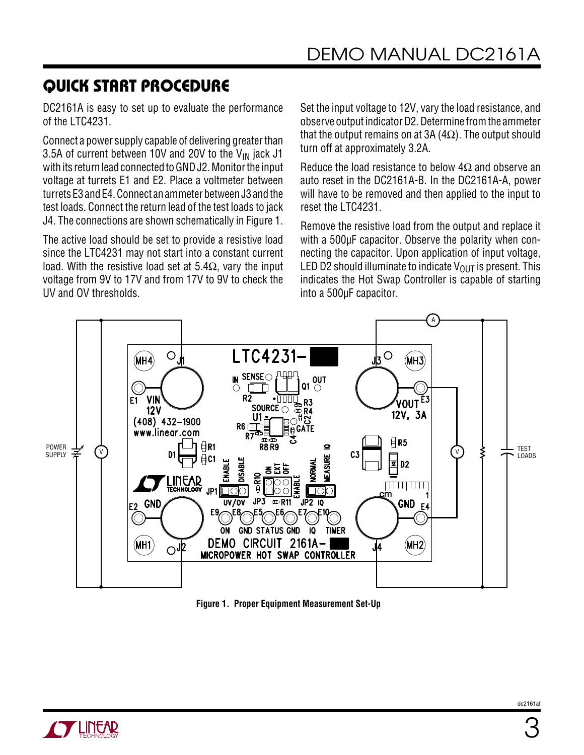## QUICK START PROCEDURE

DC2161A is easy to set up to evaluate the performance of the LTC4231.

Connect a power supply capable of delivering greater than 3.5A of current between 10V and 20V to the  $V_{IN}$  jack J1 with its return lead connected to GND J2. Monitor the input voltage at turrets E1 and E2. Place a voltmeter between turrets E3 and E4. Connect an ammeter between J3 and the test loads. Connect the return lead of the test loads to jack J4. The connections are shown schematically in Figure 1.

The active load should be set to provide a resistive load since the LTC4231 may not start into a constant current load. With the resistive load set at 5.4 $\Omega$ , vary the input voltage from 9V to 17V and from 17V to 9V to check the UV and OV thresholds.

Set the input voltage to 12V, vary the load resistance, and observe output indicator D2. Determine from the ammeter that the output remains on at 3A ( $4\Omega$ ). The output should turn off at approximately 3.2A.

Reduce the load resistance to below  $4\Omega$  and observe an auto reset in the DC2161A-B. In the DC2161A-A, power will have to be removed and then applied to the input to reset the LTC4231.

Remove the resistive load from the output and replace it with a 500µF capacitor. Observe the polarity when connecting the capacitor. Upon application of input voltage, LED D2 should illuminate to indicate  $V_{\text{OUT}}$  is present. This indicates the Hot Swap Controller is capable of starting into a 500µF capacitor.



**Figure 1. Proper Equipment Measurement Set-Up**

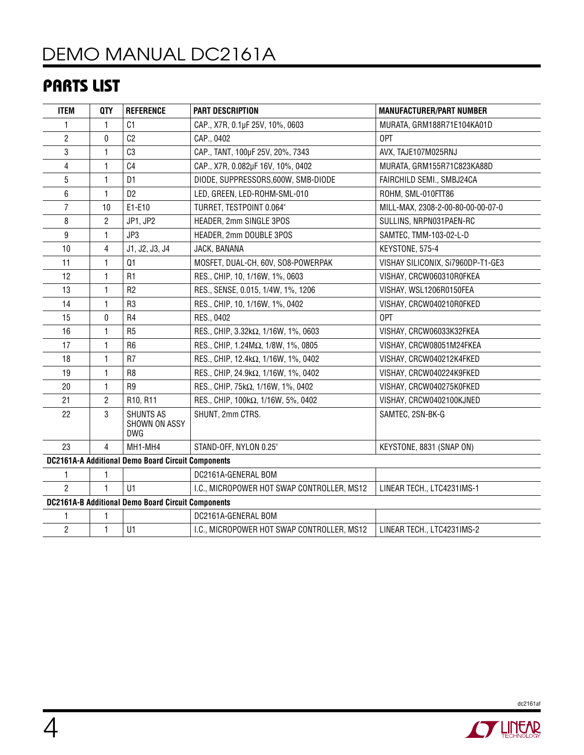### PARTS LIST

| <b>ITEM</b>                                               | QTY                                                       | <b>REFERENCE</b>                                | <b>PART DESCRIPTION</b>                    | <b>MANUFACTURER/PART NUMBER</b>   |  |  |  |
|-----------------------------------------------------------|-----------------------------------------------------------|-------------------------------------------------|--------------------------------------------|-----------------------------------|--|--|--|
|                                                           | $\mathbf{1}$                                              | C <sub>1</sub>                                  | CAP., X7R, 0.1µF 25V, 10%, 0603            | MURATA, GRM188R71E104KA01D        |  |  |  |
| $\overline{c}$                                            | 0                                                         | C <sub>2</sub>                                  | CAP., 0402                                 | 0PT                               |  |  |  |
| 3                                                         | $\mathbf{1}$                                              | C <sub>3</sub>                                  | CAP., TANT, 100µF 25V, 20%, 7343           | AVX, TAJE107M025RNJ               |  |  |  |
| 4                                                         | $\mathbf{1}$                                              | C <sub>4</sub>                                  | CAP., X7R, 0.082µF 16V, 10%, 0402          | MURATA, GRM155R71C823KA88D        |  |  |  |
| 5                                                         | 1                                                         | D <sub>1</sub>                                  | DIODE, SUPPRESSORS, 600W, SMB-DIODE        | FAIRCHILD SEMI., SMBJ24CA         |  |  |  |
| 6                                                         | $\mathbf{1}$                                              | D <sub>2</sub>                                  | LED, GREEN, LED-ROHM-SML-010               | ROHM, SML-010FTT86                |  |  |  |
| 7                                                         | 10                                                        | E1-E10                                          | TURRET, TESTPOINT 0.064"                   | MILL-MAX, 2308-2-00-80-00-00-07-0 |  |  |  |
| 8                                                         | $\overline{c}$                                            | JP1, JP2                                        | HEADER, 2mm SINGLE 3POS                    | SULLINS, NRPN031PAEN-RC           |  |  |  |
| 9                                                         | $\mathbf{1}$                                              | JP3                                             | HEADER, 2mm DOUBLE 3POS                    | SAMTEC, TMM-103-02-L-D            |  |  |  |
| 10                                                        | 4                                                         | J1, J2, J3, J4                                  | JACK, BANANA                               | KEYSTONE, 575-4                   |  |  |  |
| 11                                                        | $\mathbf{1}$                                              | Q1                                              | MOSFET, DUAL-CH, 60V, SO8-POWERPAK         | VISHAY SILICONIX, Si7960DP-T1-GE3 |  |  |  |
| 12                                                        | $\mathbf{1}$                                              | R <sub>1</sub>                                  | RES., CHIP, 10, 1/16W, 1%, 0603            | VISHAY, CRCW060310R0FKEA          |  |  |  |
| 13                                                        | 1                                                         | R <sub>2</sub>                                  | RES., SENSE, 0.015, 1/4W, 1%, 1206         | VISHAY, WSL1206R0150FEA           |  |  |  |
| 14                                                        | $\mathbf{1}$                                              | R <sub>3</sub>                                  | RES., CHIP, 10, 1/16W, 1%, 0402            | VISHAY, CRCW040210R0FKED          |  |  |  |
| 15                                                        | 0                                                         | R4                                              | RES., 0402                                 | 0PT                               |  |  |  |
| 16                                                        | $\mathbf{1}$                                              | R <sub>5</sub>                                  | RES., CHIP, 3.32kΩ, 1/16W, 1%, 0603        | VISHAY, CRCW06033K32FKEA          |  |  |  |
| 17                                                        | $\mathbf{1}$                                              | R <sub>6</sub>                                  | RES., CHIP, 1.24ΜΩ, 1/8W, 1%, 0805         | VISHAY, CRCW08051M24FKEA          |  |  |  |
| 18                                                        | 1                                                         | R <sub>7</sub>                                  | RES., CHIP, 12.4kΩ, 1/16W, 1%, 0402        | VISHAY, CRCW040212K4FKED          |  |  |  |
| 19                                                        | $\mathbf{1}$                                              | R <sub>8</sub>                                  | RES., CHIP, 24.9kΩ, 1/16W, 1%, 0402        | VISHAY, CRCW040224K9FKED          |  |  |  |
| 20                                                        | 1                                                         | R9                                              | RES., CHIP, 75kΩ, 1/16W, 1%, 0402          | VISHAY, CRCW040275K0FKED          |  |  |  |
| 21                                                        | $\overline{c}$                                            | R10, R11                                        | RES., CHIP, 100kΩ, 1/16W, 5%, 0402         | VISHAY, CRCW0402100KJNED          |  |  |  |
| 22                                                        | 3                                                         | <b>SHUNTS AS</b><br>SHOWN ON ASSY<br><b>DWG</b> | SHUNT, 2mm CTRS.                           | SAMTEC, 2SN-BK-G                  |  |  |  |
| 23                                                        | 4                                                         | MH1-MH4                                         | STAND-OFF, NYLON 0.25"                     | KEYSTONE, 8831 (SNAP ON)          |  |  |  |
|                                                           | <b>DC2161A-A Additional Demo Board Circuit Components</b> |                                                 |                                            |                                   |  |  |  |
| $\mathbf{1}$                                              | 1                                                         |                                                 | DC2161A-GENERAL BOM                        |                                   |  |  |  |
| $\mathfrak{p}$                                            | $\mathbf{1}$                                              | U1                                              | I.C., MICROPOWER HOT SWAP CONTROLLER, MS12 | LINEAR TECH., LTC4231IMS-1        |  |  |  |
| <b>DC2161A-B Additional Demo Board Circuit Components</b> |                                                           |                                                 |                                            |                                   |  |  |  |
|                                                           | 1                                                         |                                                 | DC2161A-GENERAL BOM                        |                                   |  |  |  |
| $\overline{2}$                                            | $\mathbf{1}$                                              | U1                                              | I.C., MICROPOWER HOT SWAP CONTROLLER, MS12 | LINEAR TECH., LTC4231IMS-2        |  |  |  |



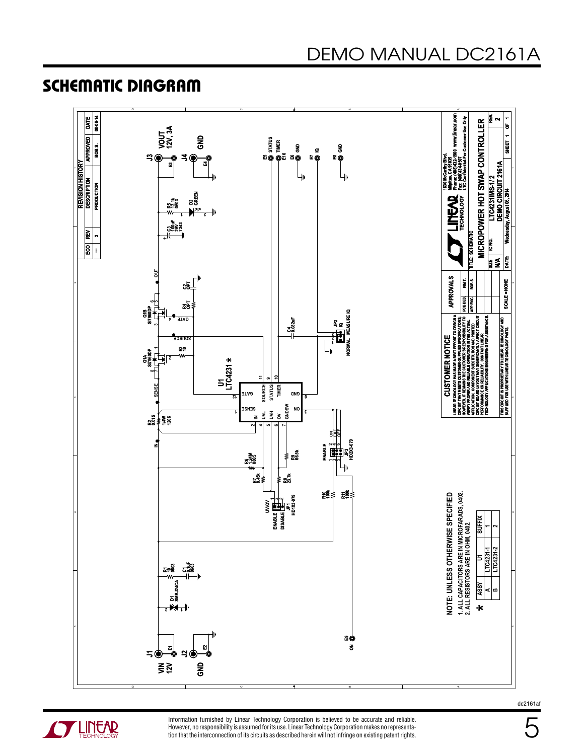### SCHEMATIC DIAGRAM





Information furnished by Linear Technology Corporation is believed to be accurate and reliable. However, no responsibility is assumed for its use. Linear Technology Corporation makes no representation that the interconnection of its circuits as described herein will not infringe on existing patent rights. dc2161af